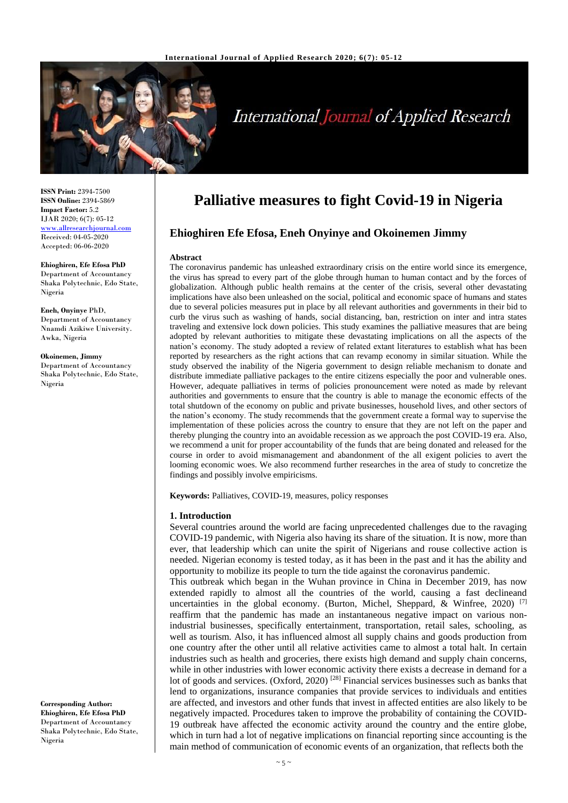

# **International Journal of Applied Research**

**ISSN Print:** 2394-7500 **ISSN Online:** 2394-5869 **Impact Factor:** 5.2 IJAR 2020; 6(7): 05-12 <www.allresearchjournal.com> Received: 04-05-2020 Accepted: 06-06-2020

#### **Ehioghiren, Efe Efosa PhD** Department of Accountancy Shaka Polytechnic, Edo State, Nigeria

**Eneh, Onyinye** PhD, Department of Accountancy Nnamdi Azikiwe University. Awka, Nigeria

**Okoinemen, Jimmy** Department of Accountancy Shaka Polytechnic, Edo State, Nigeria

**Corresponding Author: Ehioghiren, Efe Efosa PhD** Department of Accountancy Shaka Polytechnic, Edo State, Nigeria

# **Palliative measures to fight Covid-19 in Nigeria**

# **Ehioghiren Efe Efosa, Eneh Onyinye and Okoinemen Jimmy**

#### **Abstract**

The coronavirus pandemic has unleashed extraordinary crisis on the entire world since its emergence, the virus has spread to every part of the globe through human to human contact and by the forces of globalization. Although public health remains at the center of the crisis, several other devastating implications have also been unleashed on the social, political and economic space of humans and states due to several policies measures put in place by all relevant authorities and governments in their bid to curb the virus such as washing of hands, social distancing, ban, restriction on inter and intra states traveling and extensive lock down policies. This study examines the palliative measures that are being adopted by relevant authorities to mitigate these devastating implications on all the aspects of the nation's economy. The study adopted a review of related extant literatures to establish what has been reported by researchers as the right actions that can revamp economy in similar situation. While the study observed the inability of the Nigeria government to design reliable mechanism to donate and distribute immediate palliative packages to the entire citizens especially the poor and vulnerable ones. However, adequate palliatives in terms of policies pronouncement were noted as made by relevant authorities and governments to ensure that the country is able to manage the economic effects of the total shutdown of the economy on public and private businesses, household lives, and other sectors of the nation's economy. The study recommends that the government create a formal way to supervise the implementation of these policies across the country to ensure that they are not left on the paper and thereby plunging the country into an avoidable recession as we approach the post COVID-19 era. Also, we recommend a unit for proper accountability of the funds that are being donated and released for the course in order to avoid mismanagement and abandonment of the all exigent policies to avert the looming economic woes. We also recommend further researches in the area of study to concretize the findings and possibly involve empiricisms.

**Keywords:** Palliatives, COVID-19, measures, policy responses

#### **1. Introduction**

Several countries around the world are facing unprecedented challenges due to the ravaging COVID-19 pandemic, with Nigeria also having its share of the situation. It is now, more than ever, that leadership which can unite the spirit of Nigerians and rouse collective action is needed. Nigerian economy is tested today, as it has been in the past and it has the ability and opportunity to mobilize its people to turn the tide against the coronavirus pandemic.

This outbreak which began in the Wuhan province in China in December 2019, has now extended rapidly to almost all the countries of the world, causing a fast declineand uncertainties in the global economy. (Burton, Michel, Sheppard, & Winfree, 2020)<sup>[7]</sup> reaffirm that the pandemic has made an instantaneous negative impact on various nonindustrial businesses, specifically entertainment, transportation, retail sales, schooling, as well as tourism. Also, it has influenced almost all supply chains and goods production from one country after the other until all relative activities came to almost a total halt. In certain industries such as health and groceries, there exists high demand and supply chain concerns, while in other industries with lower economic activity there exists a decrease in demand for a lot of goods and services. (Oxford, 2020) <sup>[28]</sup> Financial services businesses such as banks that lend to organizations, insurance companies that provide services to individuals and entities are affected, and investors and other funds that invest in affected entities are also likely to be negatively impacted. Procedures taken to improve the probability of containing the COVID-19 outbreak have affected the economic activity around the country and the entire globe, which in turn had a lot of negative implications on financial reporting since accounting is the main method of communication of economic events of an organization, that reflects both the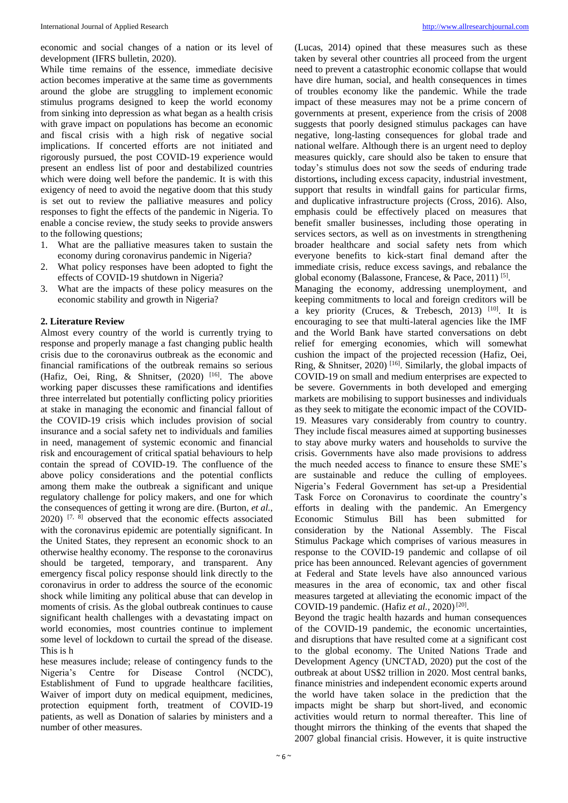economic and social changes of a nation or its level of development (IFRS bulletin, 2020).

While time remains of the essence, immediate decisive action becomes imperative at the same time as governments around the globe are struggling to implement economic stimulus programs designed to keep the world economy from sinking into depression as what began as a health crisis with grave impact on populations has become an economic and fiscal crisis with a high risk of negative social implications. If concerted efforts are not initiated and rigorously pursued, the post COVID-19 experience would present an endless list of poor and destabilized countries which were doing well before the pandemic. It is with this exigency of need to avoid the negative doom that this study is set out to review the palliative measures and policy responses to fight the effects of the pandemic in Nigeria. To enable a concise review, the study seeks to provide answers to the following questions;

- 1. What are the palliative measures taken to sustain the economy during coronavirus pandemic in Nigeria?
- 2. What policy responses have been adopted to fight the effects of COVID-19 shutdown in Nigeria?
- 3. What are the impacts of these policy measures on the economic stability and growth in Nigeria?

#### **2. Literature Review**

Almost every country of the world is currently trying to response and properly manage a fast changing public health crisis due to the coronavirus outbreak as the economic and financial ramifications of the outbreak remains so serious (Hafiz, Oei, Ring, & Shnitser, (2020) [16]. The above working paper discusses these ramifications and identifies three interrelated but potentially conflicting policy priorities at stake in managing the economic and financial fallout of the COVID-19 crisis which includes provision of social insurance and a social safety net to individuals and families in need, management of systemic economic and financial risk and encouragement of critical spatial behaviours to help contain the spread of COVID-19. The confluence of the above policy considerations and the potential conflicts among them make the outbreak a significant and unique regulatory challenge for policy makers, and one for which the consequences of getting it wrong are dire. (Burton, *et al.*,  $2020$ ) <sup>[7, 8]</sup> observed that the economic effects associated with the coronavirus epidemic are potentially significant. In the United States, they represent an economic shock to an otherwise healthy economy. The response to the coronavirus should be targeted, temporary, and transparent. Any emergency fiscal policy response should link directly to the coronavirus in order to address the source of the economic shock while limiting any political abuse that can develop in moments of crisis. As the global outbreak continues to cause significant health challenges with a devastating impact on world economies, most countries continue to implement some level of lockdown to curtail the spread of the disease. This is h

hese measures include; release of contingency funds to the Nigeria's Centre for Disease Control (NCDC), Establishment of Fund to upgrade healthcare facilities, Waiver of import duty on medical equipment, medicines, protection equipment forth, treatment of COVID-19 patients, as well as Donation of salaries by ministers and a number of other measures.

(Lucas, 2014) opined that these measures such as these taken by several other countries all proceed from the urgent need to prevent a catastrophic economic collapse that would have dire human, social, and health consequences in times of troubles economy like the pandemic. While the trade impact of these measures may not be a prime concern of governments at present, experience from the crisis of 2008 suggests that poorly designed stimulus packages can have negative, long-lasting consequences for global trade and national welfare. Although there is an urgent need to deploy measures quickly, care should also be taken to ensure that today's stimulus does not sow the seeds of enduring trade distortions**,** including excess capacity, industrial investment, support that results in windfall gains for particular firms, and duplicative infrastructure projects (Cross, 2016). Also, emphasis could be effectively placed on measures that benefit smaller businesses, including those operating in services sectors, as well as on investments in strengthening broader healthcare and social safety nets from which everyone benefits to kick-start final demand after the immediate crisis, reduce excess savings, and rebalance the global economy (Balassone, Francese, & Pace, 2011)<sup>[5]</sup>.

Managing the economy, addressing unemployment, and keeping commitments to local and foreign creditors will be a key priority (Cruces, & Trebesch, 2013) [10]. It is encouraging to see that multi-lateral agencies like the IMF and the World Bank have started conversations on debt relief for emerging economies, which will somewhat cushion the impact of the projected recession (Hafiz, Oei, Ring, & Shnitser, 2020) [16]. Similarly, the global impacts of COVID-19 on small and medium enterprises are expected to be severe. Governments in both developed and emerging markets are mobilising to support businesses and individuals as they seek to mitigate the economic impact of the COVID-19. Measures vary considerably from country to country. They include fiscal measures aimed at supporting businesses to stay above murky waters and households to survive the crisis. Governments have also made provisions to address the much needed access to finance to ensure these SME's are sustainable and reduce the culling of employees. Nigeria's Federal Government has set-up a Presidential Task Force on Coronavirus to coordinate the country's efforts in dealing with the pandemic. An Emergency Economic Stimulus Bill has been submitted for consideration by the National Assembly. The Fiscal Stimulus Package which comprises of various measures in response to the COVID-19 pandemic and collapse of oil price has been announced. Relevant agencies of government at Federal and State levels have also announced various measures in the area of economic, tax and other fiscal measures targeted at alleviating the economic impact of the COVID-19 pandemic. (Hafiz et al., 2020)<sup>[20]</sup>.

Beyond the tragic health hazards and human consequences of the COVID-19 pandemic, the economic uncertainties, and disruptions that have resulted come at a significant cost to the global economy. The United Nations Trade and Development Agency (UNCTAD, 2020) put the cost of the outbreak at about US\$2 trillion in 2020. Most central banks, finance ministries and independent economic experts around the world have taken solace in the prediction that the impacts might be sharp but short-lived, and economic activities would return to normal thereafter. This line of thought mirrors the thinking of the events that shaped the 2007 global financial crisis. However, it is quite instructive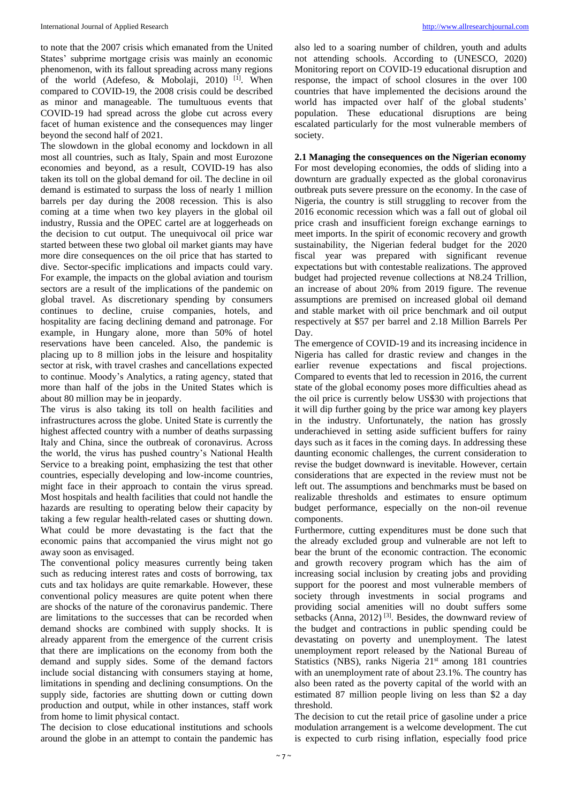to note that the 2007 crisis which emanated from the United States' subprime mortgage crisis was mainly an economic phenomenon, with its fallout spreading across many regions of the world (Adefeso,  $\&$  Mobolaji, 2010)<sup>[1]</sup>. When compared to COVID-19, the 2008 crisis could be described as minor and manageable. The tumultuous events that COVID-19 had spread across the globe cut across every facet of human existence and the consequences may linger beyond the second half of 2021.

The slowdown in the global economy and lockdown in all most all countries, such as Italy, Spain and most Eurozone economies and beyond, as a result, COVID-19 has also taken its toll on the global demand for oil. The decline in oil demand is estimated to surpass the loss of nearly 1 million barrels per day during the 2008 recession. This is also coming at a time when two key players in the global oil industry, Russia and the OPEC cartel are at loggerheads on the decision to cut output. The unequivocal oil price war started between these two global oil market giants may have more dire consequences on the oil price that has started to dive. Sector-specific implications and impacts could vary. For example, the impacts on the global aviation and tourism sectors are a result of the implications of the pandemic on global travel. As discretionary spending by consumers continues to decline, cruise companies, hotels, and hospitality are facing declining demand and patronage. For example, in Hungary alone, more than 50% of hotel reservations have been canceled. Also, the pandemic is placing up to 8 million jobs in the leisure and hospitality sector at risk, with travel crashes and cancellations expected to continue. Moody's Analytics, a rating agency, stated that more than half of the jobs in the United States which is about 80 million may be in jeopardy.

The virus is also taking its toll on health facilities and infrastructures across the globe. United State is currently the highest affected country with a number of deaths surpassing Italy and China, since the outbreak of coronavirus. Across the world, the virus has pushed country's National Health Service to a breaking point, emphasizing the test that other countries, especially developing and low-income countries, might face in their approach to contain the virus spread. Most hospitals and health facilities that could not handle the hazards are resulting to operating below their capacity by taking a few regular health-related cases or shutting down. What could be more devastating is the fact that the economic pains that accompanied the virus might not go away soon as envisaged.

The conventional policy measures currently being taken such as reducing interest rates and costs of borrowing, tax cuts and tax holidays are quite remarkable. However, these conventional policy measures are quite potent when there are shocks of the nature of the coronavirus pandemic. There are limitations to the successes that can be recorded when demand shocks are combined with supply shocks. It is already apparent from the emergence of the current crisis that there are implications on the economy from both the demand and supply sides. Some of the demand factors include social distancing with consumers staying at home, limitations in spending and declining consumptions. On the supply side, factories are shutting down or cutting down production and output, while in other instances, staff work from home to limit physical contact.

The decision to close educational institutions and schools around the globe in an attempt to contain the pandemic has also led to a soaring number of children, youth and adults not attending schools. According to (UNESCO, 2020) Monitoring report on COVID-19 educational disruption and response, the impact of school closures in the over 100 countries that have implemented the decisions around the world has impacted over half of the global students' population. These educational disruptions are being escalated particularly for the most vulnerable members of society.

#### **2.1 Managing the consequences on the Nigerian economy**

For most developing economies, the odds of sliding into a downturn are gradually expected as the global coronavirus outbreak puts severe pressure on the economy. In the case of Nigeria, the country is still struggling to recover from the 2016 economic recession which was a fall out of global oil price crash and insufficient foreign exchange earnings to meet imports. In the spirit of economic recovery and growth sustainability, the Nigerian federal budget for the 2020 fiscal year was prepared with significant revenue expectations but with contestable realizations. The approved budget had projected revenue collections at N8.24 Trillion, an increase of about 20% from 2019 figure. The revenue assumptions are premised on increased global oil demand and stable market with oil price benchmark and oil output respectively at \$57 per barrel and 2.18 Million Barrels Per Day.

The emergence of COVID-19 and its increasing incidence in Nigeria has called for drastic review and changes in the earlier revenue expectations and fiscal projections. Compared to events that led to recession in 2016, the current state of the global economy poses more difficulties ahead as the oil price is currently below US\$30 with projections that it will dip further going by the price war among key players in the industry. Unfortunately, the nation has grossly underachieved in setting aside sufficient buffers for rainy days such as it faces in the coming days. In addressing these daunting economic challenges, the current consideration to revise the budget downward is inevitable. However, certain considerations that are expected in the review must not be left out. The assumptions and benchmarks must be based on realizable thresholds and estimates to ensure optimum budget performance, especially on the non-oil revenue components.

Furthermore, cutting expenditures must be done such that the already excluded group and vulnerable are not left to bear the brunt of the economic contraction. The economic and growth recovery program which has the aim of increasing social inclusion by creating jobs and providing support for the poorest and most vulnerable members of society through investments in social programs and providing social amenities will no doubt suffers some setbacks (Anna,  $2012$ )<sup>[3]</sup>. Besides, the downward review of the budget and contractions in public spending could be devastating on poverty and unemployment. The latest unemployment report released by the National Bureau of Statistics (NBS), ranks Nigeria 21<sup>st</sup> among 181 countries with an unemployment rate of about 23.1%. The country has also been rated as the poverty capital of the world with an estimated 87 million people living on less than \$2 a day threshold.

The decision to cut the retail price of gasoline under a price modulation arrangement is a welcome development. The cut is expected to curb rising inflation, especially food price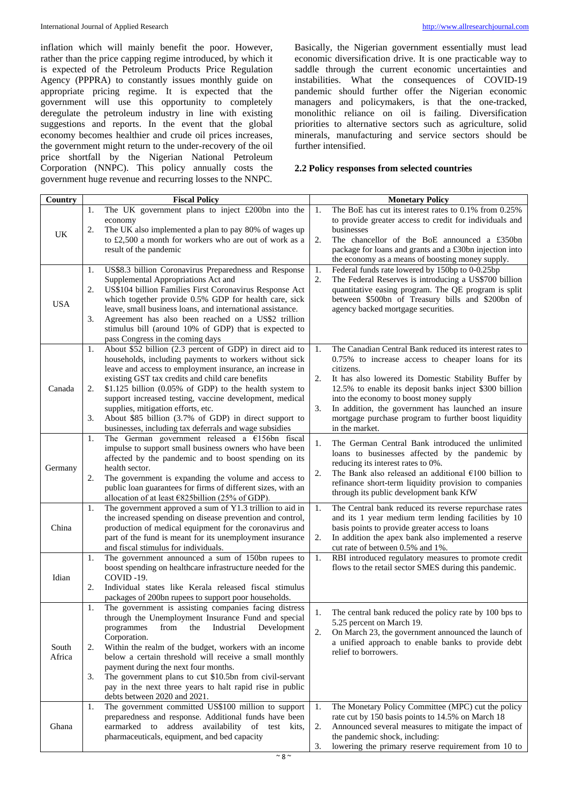inflation which will mainly benefit the poor. However, rather than the price capping regime introduced, by which it is expected of the Petroleum Products Price Regulation Agency (PPPRA) to constantly issues monthly guide on appropriate pricing regime. It is expected that the government will use this opportunity to completely deregulate the petroleum industry in line with existing suggestions and reports. In the event that the global economy becomes healthier and crude oil prices increases, the government might return to the under-recovery of the oil price shortfall by the Nigerian National Petroleum Corporation (NNPC). This policy annually costs the government huge revenue and recurring losses to the NNPC.

Basically, the Nigerian government essentially must lead economic diversification drive. It is one practicable way to saddle through the current economic uncertainties and instabilities. What the consequences of COVID-19 pandemic should further offer the Nigerian economic managers and policymakers, is that the one-tracked, monolithic reliance on oil is failing. Diversification priorities to alternative sectors such as agriculture, solid minerals, manufacturing and service sectors should be further intensified.

# **2.2 Policy responses from selected countries**

| Country         |    | <b>Fiscal Policy</b>                                                                                                   |    | <b>Monetary Policy</b>                                                                                       |
|-----------------|----|------------------------------------------------------------------------------------------------------------------------|----|--------------------------------------------------------------------------------------------------------------|
|                 | 1. | The UK government plans to inject £200bn into the                                                                      | 1. | The BoE has cut its interest rates to 0.1% from 0.25%                                                        |
| UK              |    | economy                                                                                                                |    | to provide greater access to credit for individuals and                                                      |
|                 | 2. | The UK also implemented a plan to pay 80% of wages up                                                                  |    | businesses                                                                                                   |
|                 |    | to £2,500 a month for workers who are out of work as a                                                                 | 2. | The chancellor of the BoE announced a £350bn                                                                 |
|                 |    | result of the pandemic                                                                                                 |    | package for loans and grants and a £30bn injection into<br>the economy as a means of boosting money supply.  |
|                 | 1. | US\$8.3 billion Coronavirus Preparedness and Response                                                                  | 1. | Federal funds rate lowered by 150bp to 0-0.25bp                                                              |
| <b>USA</b>      |    | Supplemental Appropriations Act and                                                                                    | 2. | The Federal Reserves is introducing a US\$700 billion                                                        |
|                 | 2. | US\$104 billion Families First Coronavirus Response Act                                                                |    | quantitative easing program. The QE program is split                                                         |
|                 |    | which together provide 0.5% GDP for health care, sick                                                                  |    | between \$500bn of Treasury bills and \$200bn of                                                             |
|                 |    | leave, small business loans, and international assistance.                                                             |    | agency backed mortgage securities.                                                                           |
|                 | 3. | Agreement has also been reached on a US\$2 trillion                                                                    |    |                                                                                                              |
|                 |    | stimulus bill (around 10% of GDP) that is expected to                                                                  |    |                                                                                                              |
|                 |    | pass Congress in the coming days                                                                                       |    |                                                                                                              |
|                 | 1. | About \$52 billion (2.3 percent of GDP) in direct aid to<br>households, including payments to workers without sick     | 1. | The Canadian Central Bank reduced its interest rates to<br>0.75% to increase access to cheaper loans for its |
|                 |    | leave and access to employment insurance, an increase in                                                               |    | citizens.                                                                                                    |
| Canada          |    | existing GST tax credits and child care benefits                                                                       | 2. | It has also lowered its Domestic Stability Buffer by                                                         |
|                 | 2. | $$1.125$ billion (0.05% of GDP) to the health system to                                                                |    | 12.5% to enable its deposit banks inject \$300 billion                                                       |
|                 |    | support increased testing, vaccine development, medical                                                                |    | into the economy to boost money supply                                                                       |
|                 |    | supplies, mitigation efforts, etc.                                                                                     | 3. | In addition, the government has launched an insure                                                           |
|                 | 3. | About \$85 billion (3.7% of GDP) in direct support to                                                                  |    | mortgage purchase program to further boost liquidity<br>in the market.                                       |
|                 | 1. | businesses, including tax deferrals and wage subsidies<br>The German government released a $£156$ bn fiscal            |    |                                                                                                              |
|                 |    | impulse to support small business owners who have been                                                                 | 1. | The German Central Bank introduced the unlimited                                                             |
|                 |    | affected by the pandemic and to boost spending on its                                                                  |    | loans to businesses affected by the pandemic by                                                              |
| Germany         |    | health sector.                                                                                                         | 2. | reducing its interest rates to 0%.<br>The Bank also released an additional $£100$ billion to                 |
|                 | 2. | The government is expanding the volume and access to                                                                   |    | refinance short-term liquidity provision to companies                                                        |
|                 |    | public loan guarantees for firms of different sizes, with an                                                           |    | through its public development bank KfW                                                                      |
|                 | 1. | allocation of at least $\epsilon$ 825billion (25% of GDP).<br>The government approved a sum of Y1.3 trillion to aid in | 1. | The Central bank reduced its reverse repurchase rates                                                        |
|                 |    | the increased spending on disease prevention and control,                                                              |    | and its 1 year medium term lending facilities by 10                                                          |
| China           |    | production of medical equipment for the coronavirus and                                                                |    | basis points to provide greater access to loans                                                              |
|                 |    | part of the fund is meant for its unemployment insurance                                                               | 2. | In addition the apex bank also implemented a reserve                                                         |
|                 |    | and fiscal stimulus for individuals.                                                                                   |    | cut rate of between 0.5% and 1%.                                                                             |
| Idian           | 1. | The government announced a sum of 150bn rupees to                                                                      | 1. | RBI introduced regulatory measures to promote credit                                                         |
|                 |    | boost spending on healthcare infrastructure needed for the<br>COVID -19.                                               |    | flows to the retail sector SMES during this pandemic.                                                        |
|                 | 2. | Individual states like Kerala released fiscal stimulus                                                                 |    |                                                                                                              |
|                 |    | packages of 200bn rupees to support poor households.                                                                   |    |                                                                                                              |
|                 | 1. | The government is assisting companies facing distress                                                                  |    |                                                                                                              |
|                 |    | through the Unemployment Insurance Fund and special                                                                    | 1. | The central bank reduced the policy rate by 100 bps to<br>5.25 percent on March 19.                          |
|                 |    | Industrial Development<br>programmes<br>from the                                                                       | 2. | On March 23, the government announced the launch of                                                          |
|                 |    | Corporation.                                                                                                           |    | a unified approach to enable banks to provide debt                                                           |
| South<br>Africa | 2. | Within the realm of the budget, workers with an income<br>below a certain threshold will receive a small monthly       |    | relief to borrowers.                                                                                         |
|                 |    | payment during the next four months.                                                                                   |    |                                                                                                              |
|                 | 3. | The government plans to cut \$10.5bn from civil-servant                                                                |    |                                                                                                              |
|                 |    | pay in the next three years to halt rapid rise in public                                                               |    |                                                                                                              |
|                 |    | debts between 2020 and 2021.                                                                                           |    |                                                                                                              |
| Ghana           | 1. | The government committed US\$100 million to support                                                                    | 1. | The Monetary Policy Committee (MPC) cut the policy                                                           |
|                 |    | preparedness and response. Additional funds have been                                                                  |    | rate cut by 150 basis points to 14.5% on March 18                                                            |
|                 |    | earmarked to address availability of test kits,<br>pharmaceuticals, equipment, and bed capacity                        | 2. | Announced several measures to mitigate the impact of<br>the pandemic shock, including:                       |
|                 |    |                                                                                                                        | 3. | lowering the primary reserve requirement from 10 to                                                          |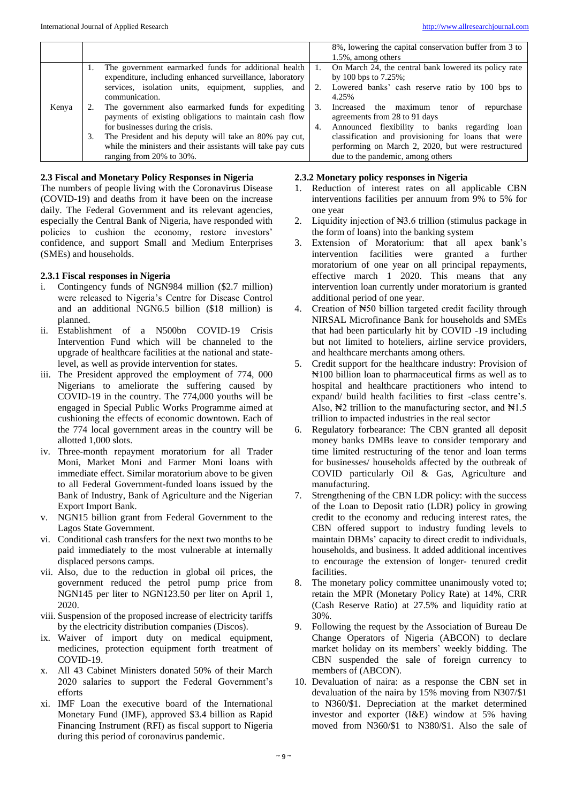|       |    |                                                             |    | 8%, lowering the capital conservation buffer from 3 to |
|-------|----|-------------------------------------------------------------|----|--------------------------------------------------------|
|       |    |                                                             |    | 1.5%, among others                                     |
|       |    | The government earmarked funds for additional health        |    | On March 24, the central bank lowered its policy rate  |
|       |    | expenditure, including enhanced surveillance, laboratory    |    | by 100 bps to $7.25\%$ ;                               |
|       |    | services, isolation units, equipment, supplies, and         | 2. | Lowered banks' cash reserve ratio by 100 bps to        |
|       |    | communication.                                              |    | 4.25%                                                  |
| Kenya |    | The government also earmarked funds for expediting          | 3. | Increased the maximum tenor<br>repurchase<br>-of       |
|       |    | payments of existing obligations to maintain cash flow      |    | agreements from 28 to 91 days                          |
|       |    | for businesses during the crisis.                           | 4. | Announced flexibility to banks regarding loan          |
|       | 3. | The President and his deputy will take an 80% pay cut,      |    | classification and provisioning for loans that were    |
|       |    | while the ministers and their assistants will take pay cuts |    | performing on March 2, 2020, but were restructured     |
|       |    | ranging from 20% to 30%.                                    |    | due to the pandemic, among others                      |

## **2.3 Fiscal and Monetary Policy Responses in Nigeria**

The numbers of people living with the Coronavirus Disease (COVID-19) and deaths from it have been on the increase daily. The Federal Government and its relevant agencies, especially the Central Bank of Nigeria, have responded with policies to cushion the economy, restore investors' confidence, and support Small and Medium Enterprises (SMEs) and households.

# **2.3.1 Fiscal responses in Nigeria**

- i. Contingency funds of NGN984 million (\$2.7 million) were released to Nigeria's Centre for Disease Control and an additional NGN6.5 billion (\$18 million) is planned.
- ii. Establishment of a N500bn COVID-19 Crisis Intervention Fund which will be channeled to the upgrade of healthcare facilities at the national and statelevel, as well as provide intervention for states.
- iii. The President approved the employment of 774, 000 Nigerians to ameliorate the suffering caused by COVID-19 in the country. The 774,000 youths will be engaged in Special Public Works Programme aimed at cushioning the effects of economic downtown. Each of the 774 local government areas in the country will be allotted 1,000 slots.
- iv. Three-month repayment moratorium for all Trader Moni, Market Moni and Farmer Moni loans with immediate effect. Similar moratorium above to be given to all Federal Government-funded loans issued by the Bank of Industry, Bank of Agriculture and the Nigerian Export Import Bank.
- v. NGN15 billion grant from Federal Government to the Lagos State Government.
- vi. Conditional cash transfers for the next two months to be paid immediately to the most vulnerable at internally displaced persons camps.
- vii. Also, due to the reduction in global oil prices, the government reduced the petrol pump price from NGN145 per liter to NGN123.50 per liter on April 1, 2020.
- viii. Suspension of the proposed increase of electricity tariffs by the electricity distribution companies (Discos).
- ix. Waiver of import duty on medical equipment, medicines, protection equipment forth treatment of COVID-19.
- x. All 43 Cabinet Ministers donated 50% of their March 2020 salaries to support the Federal Government's efforts
- xi. IMF Loan the executive board of the International Monetary Fund (IMF), approved \$3.4 billion as Rapid Financing Instrument (RFI) as fiscal support to Nigeria during this period of coronavirus pandemic.

### **2.3.2 Monetary policy responses in Nigeria**

- 1. Reduction of interest rates on all applicable CBN interventions facilities per annuum from 9% to 5% for one year
- 2. Liquidity injection of No.3.6 trillion (stimulus package in the form of loans) into the banking system
- 3. Extension of Moratorium: that all apex bank's intervention facilities were granted a further moratorium of one year on all principal repayments, effective march 1 2020. This means that any intervention loan currently under moratorium is granted additional period of one year.
- 4. Creation of ₦50 billion targeted credit facility through NIRSAL Microfinance Bank for households and SMEs that had been particularly hit by COVID -19 including but not limited to hoteliers, airline service providers, and healthcare merchants among others.
- 5. Credit support for the healthcare industry: Provision of ₦100 billion loan to pharmaceutical firms as well as to hospital and healthcare practitioners who intend to expand/ build health facilities to first -class centre's. Also,  $\frac{1}{2}$  trillion to the manufacturing sector, and  $\frac{1}{2}$ 1.5 trillion to impacted industries in the real sector
- 6. Regulatory forbearance: The CBN granted all deposit money banks DMBs leave to consider temporary and time limited restructuring of the tenor and loan terms for businesses/ households affected by the outbreak of COVID particularly Oil & Gas, Agriculture and manufacturing.
- 7. Strengthening of the CBN LDR policy: with the success of the Loan to Deposit ratio (LDR) policy in growing credit to the economy and reducing interest rates, the CBN offered support to industry funding levels to maintain DBMs' capacity to direct credit to individuals, households, and business. It added additional incentives to encourage the extension of longer- tenured credit facilities.
- 8. The monetary policy committee unanimously voted to; retain the MPR (Monetary Policy Rate) at 14%, CRR (Cash Reserve Ratio) at 27.5% and liquidity ratio at 30%.
- 9. Following the request by the Association of Bureau De Change Operators of Nigeria (ABCON) to declare market holiday on its members' weekly bidding. The CBN suspended the sale of foreign currency to members of (ABCON).
- 10. Devaluation of naira: as a response the CBN set in devaluation of the naira by 15% moving from N307/\$1 to N360/\$1. Depreciation at the market determined investor and exporter (I&E) window at 5% having moved from N360/\$1 to N380/\$1. Also the sale of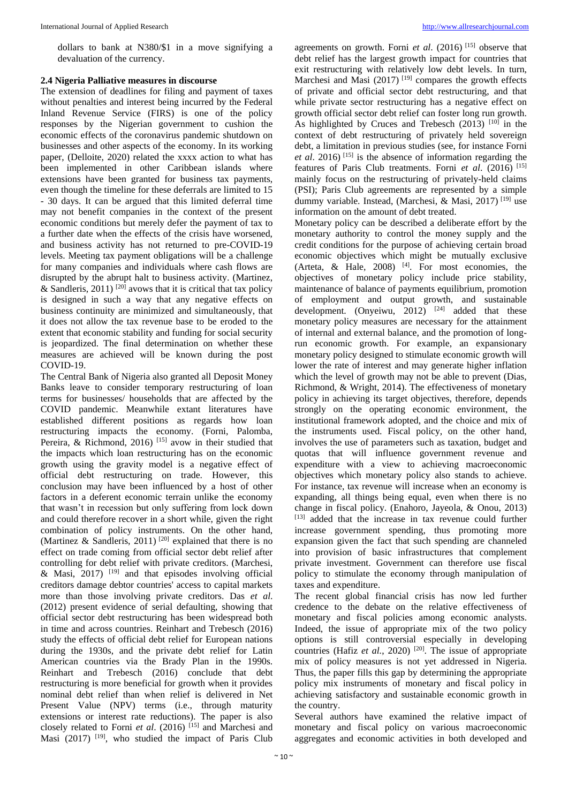dollars to bank at N380/\$1 in a move signifying a devaluation of the currency.

### **2.4 Nigeria Palliative measures in discourse**

The extension of deadlines for filing and payment of taxes without penalties and interest being incurred by the Federal Inland Revenue Service (FIRS) is one of the policy responses by the Nigerian government to cushion the economic effects of the coronavirus pandemic shutdown on businesses and other aspects of the economy. In its working paper, (Delloite, 2020) related the xxxx action to what has been implemented in other Caribbean islands where extensions have been granted for business tax payments, even though the timeline for these deferrals are limited to 15 - 30 days. It can be argued that this limited deferral time may not benefit companies in the context of the present economic conditions but merely defer the payment of tax to a further date when the effects of the crisis have worsened, and business activity has not returned to pre-COVID-19 levels. Meeting tax payment obligations will be a challenge for many companies and individuals where cash flows are disrupted by the abrupt halt to business activity. (Martinez, & Sandleris, 2011)  $^{[20]}$  avows that it is critical that tax policy is designed in such a way that any negative effects on business continuity are minimized and simultaneously, that it does not allow the tax revenue base to be eroded to the extent that economic stability and funding for social security is jeopardized. The final determination on whether these measures are achieved will be known during the post COVID-19.

The Central Bank of Nigeria also granted all Deposit Money Banks leave to consider temporary restructuring of loan terms for businesses/ households that are affected by the COVID pandemic. Meanwhile extant literatures have established different positions as regards how loan restructuring impacts the economy. (Forni, Palomba, Pereira, & Richmond, 2016)<sup>[15]</sup> avow in their studied that the impacts which loan restructuring has on the economic growth using the gravity model is a negative effect of official debt restructuring on trade. However, this conclusion may have been influenced by a host of other factors in a deferent economic terrain unlike the economy that wasn't in recession but only suffering from lock down and could therefore recover in a short while, given the right combination of policy instruments. On the other hand, (Martinez & Sandleris, 2011)<sup>[20]</sup> explained that there is no effect on trade coming from official sector debt relief after controlling for debt relief with private creditors. (Marchesi, & Masi,  $2017$ ) <sup>[19]</sup> and that episodes involving official creditors damage debtor countries' access to capital markets more than those involving private creditors. Das *et al*. (2012) present evidence of serial defaulting, showing that official sector debt restructuring has been widespread both in time and across countries. Reinhart and Trebesch (2016) study the effects of official debt relief for European nations during the 1930s, and the private debt relief for Latin American countries via the Brady Plan in the 1990s. Reinhart and Trebesch (2016) conclude that debt restructuring is more beneficial for growth when it provides nominal debt relief than when relief is delivered in Net Present Value (NPV) terms (i.e., through maturity extensions or interest rate reductions). The paper is also closely related to Forni *et al*. (2016) [15] and Marchesi and Masi  $(2017)$  <sup>[19]</sup>, who studied the impact of Paris Club

agreements on growth. Forni *et al*. (2016) [15] observe that debt relief has the largest growth impact for countries that exit restructuring with relatively low debt levels. In turn, Marchesi and Masi  $(2017)$ <sup>[19]</sup> compares the growth effects of private and official sector debt restructuring, and that while private sector restructuring has a negative effect on growth official sector debt relief can foster long run growth. As highlighted by Cruces and Trebesch (2013) <sup>[10]</sup> in the context of debt restructuring of privately held sovereign debt, a limitation in previous studies (see, for instance Forni *et al*. 2016) [15] is the absence of information regarding the features of Paris Club treatments. Forni *et al*. (2016) [15] mainly focus on the restructuring of privately-held claims (PSI); Paris Club agreements are represented by a simple dummy variable. Instead, (Marchesi, & Masi, 2017) [19] use information on the amount of debt treated.

Monetary policy can be described a deliberate effort by the monetary authority to control the money supply and the credit conditions for the purpose of achieving certain broad economic objectives which might be mutually exclusive (Arteta,  $\&$  Hale, 2008)<sup>[4]</sup>. For most economies, the objectives of monetary policy include price stability, maintenance of balance of payments equilibrium, promotion of employment and output growth, and sustainable development. (Onyeiwu,  $2012$ )  $[24]$  added that these monetary policy measures are necessary for the attainment of internal and external balance, and the promotion of longrun economic growth. For example, an expansionary monetary policy designed to stimulate economic growth will lower the rate of interest and may generate higher inflation which the level of growth may not be able to prevent (Dias, Richmond, & Wright, 2014). The effectiveness of monetary policy in achieving its target objectives, therefore, depends strongly on the operating economic environment, the institutional framework adopted, and the choice and mix of the instruments used. Fiscal policy, on the other hand, involves the use of parameters such as taxation, budget and quotas that will influence government revenue and expenditure with a view to achieving macroeconomic objectives which monetary policy also stands to achieve. For instance, tax revenue will increase when an economy is expanding, all things being equal, even when there is no change in fiscal policy. (Enahoro, Jayeola, & Onou, 2013) [13] added that the increase in tax revenue could further increase government spending, thus promoting more expansion given the fact that such spending are channeled into provision of basic infrastructures that complement private investment. Government can therefore use fiscal policy to stimulate the economy through manipulation of taxes and expenditure.

The recent global financial crisis has now led further credence to the debate on the relative effectiveness of monetary and fiscal policies among economic analysts. Indeed, the issue of appropriate mix of the two policy options is still controversial especially in developing countries (Hafiz *et al.*, 2020)<sup>[20]</sup>. The issue of appropriate mix of policy measures is not yet addressed in Nigeria. Thus, the paper fills this gap by determining the appropriate policy mix instruments of monetary and fiscal policy in achieving satisfactory and sustainable economic growth in the country.

Several authors have examined the relative impact of monetary and fiscal policy on various macroeconomic aggregates and economic activities in both developed and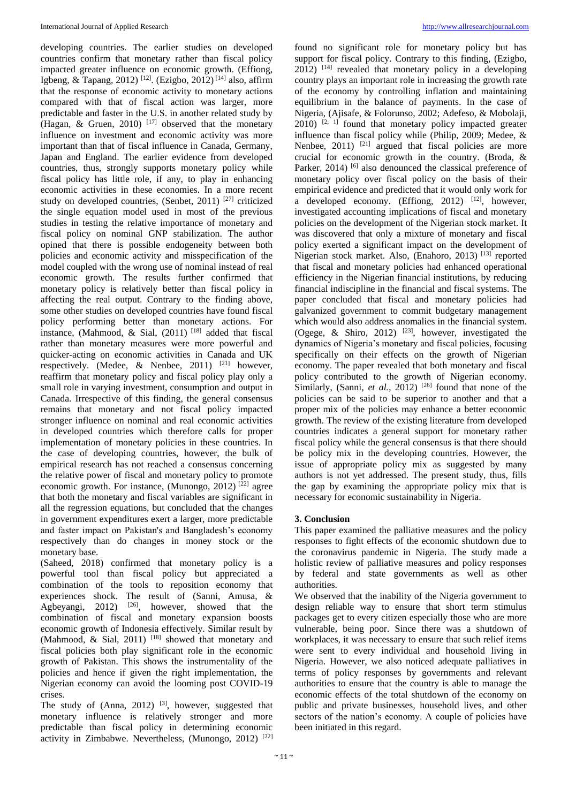developing countries. The earlier studies on developed countries confirm that monetary rather than fiscal policy impacted greater influence on economic growth. (Effiong, Igbeng, & Tapang, 2012)<sup>[12]</sup>. (Ezigbo, 2012)<sup>[14]</sup> also, affirm that the response of economic activity to monetary actions compared with that of fiscal action was larger, more predictable and faster in the U.S. in another related study by (Hagan, & Gruen, 2010)  $^{[17]}$  observed that the monetary influence on investment and economic activity was more important than that of fiscal influence in Canada, Germany, Japan and England. The earlier evidence from developed countries, thus, strongly supports monetary policy while fiscal policy has little role, if any, to play in enhancing economic activities in these economies. In a more recent study on developed countries, (Senbet, 2011)<sup>[27]</sup> criticized the single equation model used in most of the previous studies in testing the relative importance of monetary and fiscal policy on nominal GNP stabilization. The author opined that there is possible endogeneity between both policies and economic activity and misspecification of the model coupled with the wrong use of nominal instead of real economic growth. The results further confirmed that monetary policy is relatively better than fiscal policy in affecting the real output. Contrary to the finding above, some other studies on developed countries have found fiscal policy performing better than monetary actions. For instance, (Mahmood, & Sial,  $(2011)$ <sup>[18]</sup> added that fiscal rather than monetary measures were more powerful and quicker-acting on economic activities in Canada and UK respectively. (Medee, & Nenbee, 2011) [21] however, reaffirm that monetary policy and fiscal policy play only a small role in varying investment, consumption and output in Canada. Irrespective of this finding, the general consensus remains that monetary and not fiscal policy impacted stronger influence on nominal and real economic activities in developed countries which therefore calls for proper implementation of monetary policies in these countries. In the case of developing countries, however, the bulk of empirical research has not reached a consensus concerning the relative power of fiscal and monetary policy to promote economic growth. For instance, (Munongo, 2012)  $^{[22]}$  agree that both the monetary and fiscal variables are significant in all the regression equations, but concluded that the changes in government expenditures exert a larger, more predictable and faster impact on Pakistan's and Bangladesh's economy respectively than do changes in money stock or the monetary base.

(Saheed, 2018) confirmed that monetary policy is a powerful tool than fiscal policy but appreciated a combination of the tools to reposition economy that experiences shock. The result of (Sanni, Amusa, & Agbeyangi, 2012)  $[26]$ , however, showed that the combination of fiscal and monetary expansion boosts economic growth of Indonesia effectively. Similar result by (Mahmood, & Sial, 2011)<sup>[18]</sup> showed that monetary and fiscal policies both play significant role in the economic growth of Pakistan. This shows the instrumentality of the policies and hence if given the right implementation, the Nigerian economy can avoid the looming post COVID-19 crises.

The study of (Anna, 2012)  $[3]$ , however, suggested that monetary influence is relatively stronger and more predictable than fiscal policy in determining economic activity in Zimbabwe. Nevertheless, (Munongo, 2012)<sup>[22]</sup>

found no significant role for monetary policy but has support for fiscal policy. Contrary to this finding, (Ezigbo,  $2012$ )  $[14]$  revealed that monetary policy in a developing country plays an important role in increasing the growth rate of the economy by controlling inflation and maintaining equilibrium in the balance of payments. In the case of Nigeria, (Ajisafe, & Folorunso, 2002; Adefeso, & Mobolaji,  $2010$ )  $^{[2, 1]}$  found that monetary policy impacted greater influence than fiscal policy while (Philip, 2009; Medee, & Nenbee,  $2011$ )  $^{[21]}$  argued that fiscal policies are more crucial for economic growth in the country. (Broda, & Parker,  $2014$ ) <sup>[6]</sup> also denounced the classical preference of monetary policy over fiscal policy on the basis of their empirical evidence and predicted that it would only work for a developed economy. (Effiong,  $2012$ )  $[12]$ , however, investigated accounting implications of fiscal and monetary policies on the development of the Nigerian stock market. It was discovered that only a mixture of monetary and fiscal policy exerted a significant impact on the development of Nigerian stock market. Also, (Enahoro, 2013)<sup>[13]</sup> reported that fiscal and monetary policies had enhanced operational efficiency in the Nigerian financial institutions, by reducing financial indiscipline in the financial and fiscal systems. The paper concluded that fiscal and monetary policies had galvanized government to commit budgetary management which would also address anomalies in the financial system. (Ogege, & Shiro, 2012) [23], however, investigated the dynamics of Nigeria's monetary and fiscal policies, focusing specifically on their effects on the growth of Nigerian economy. The paper revealed that both monetary and fiscal policy contributed to the growth of Nigerian economy. Similarly, (Sanni, *et al.*, 2012)<sup>[26]</sup> found that none of the policies can be said to be superior to another and that a proper mix of the policies may enhance a better economic growth. The review of the existing literature from developed countries indicates a general support for monetary rather fiscal policy while the general consensus is that there should be policy mix in the developing countries. However, the issue of appropriate policy mix as suggested by many authors is not yet addressed. The present study, thus, fills the gap by examining the appropriate policy mix that is necessary for economic sustainability in Nigeria.

#### **3. Conclusion**

This paper examined the palliative measures and the policy responses to fight effects of the economic shutdown due to the coronavirus pandemic in Nigeria. The study made a holistic review of palliative measures and policy responses by federal and state governments as well as other authorities.

We observed that the inability of the Nigeria government to design reliable way to ensure that short term stimulus packages get to every citizen especially those who are more vulnerable, being poor. Since there was a shutdown of workplaces, it was necessary to ensure that such relief items were sent to every individual and household living in Nigeria. However, we also noticed adequate palliatives in terms of policy responses by governments and relevant authorities to ensure that the country is able to manage the economic effects of the total shutdown of the economy on public and private businesses, household lives, and other sectors of the nation's economy. A couple of policies have been initiated in this regard.